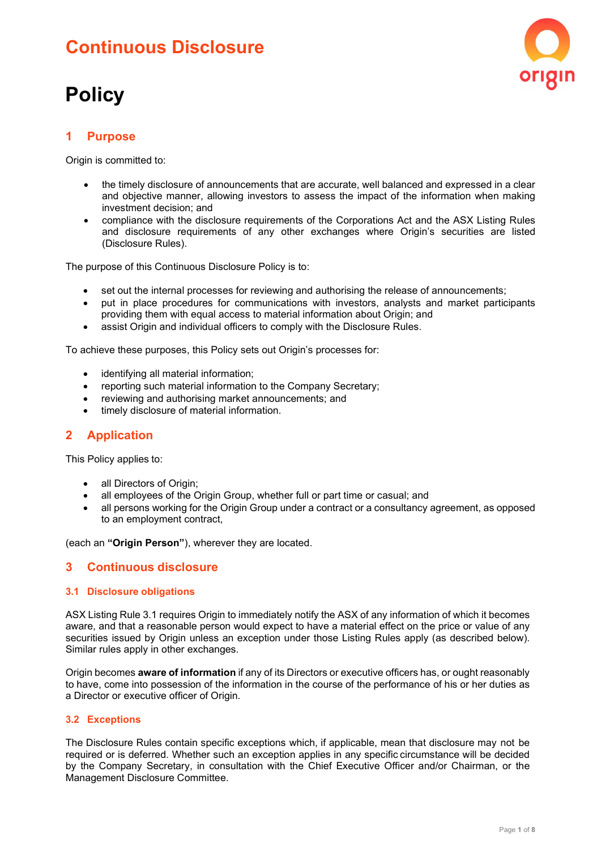## Continuous Disclosure

# **Policy**



## **Purpose**

Origin is committed to:

- the timely disclosure of announcements that are accurate, well balanced and expressed in a clear and objective manner, allowing investors to assess the impact of the information when making investment decision; and
- compliance with the disclosure requirements of the Corporations Act and the ASX Listing Rules and disclosure requirements of any other exchanges where Origin's securities are listed (Disclosure Rules).

The purpose of this Continuous Disclosure Policy is to:

- set out the internal processes for reviewing and authorising the release of announcements;
- put in place procedures for communications with investors, analysts and market participants providing them with equal access to material information about Origin; and
- assist Origin and individual officers to comply with the Disclosure Rules.

To achieve these purposes, this Policy sets out Origin's processes for:

- identifying all material information;
- reporting such material information to the Company Secretary;
- reviewing and authorising market announcements; and
- timely disclosure of material information.

#### 2 Application

This Policy applies to:

- all Directors of Origin;
- all employees of the Origin Group, whether full or part time or casual; and
- all persons working for the Origin Group under a contract or a consultancy agreement, as opposed to an employment contract,

(each an "Origin Person"), wherever they are located.

#### 3 Continuous disclosure

#### 3.1 Disclosure obligations

ASX Listing Rule 3.1 requires Origin to immediately notify the ASX of any information of which it becomes aware, and that a reasonable person would expect to have a material effect on the price or value of any securities issued by Origin unless an exception under those Listing Rules apply (as described below). Similar rules apply in other exchanges.

Origin becomes **aware of information** if any of its Directors or executive officers has, or ought reasonably to have, come into possession of the information in the course of the performance of his or her duties as a Director or executive officer of Origin.

#### 3.2 Exceptions

The Disclosure Rules contain specific exceptions which, if applicable, mean that disclosure may not be required or is deferred. Whether such an exception applies in any specific circumstance will be decided by the Company Secretary, in consultation with the Chief Executive Officer and/or Chairman, or the Management Disclosure Committee.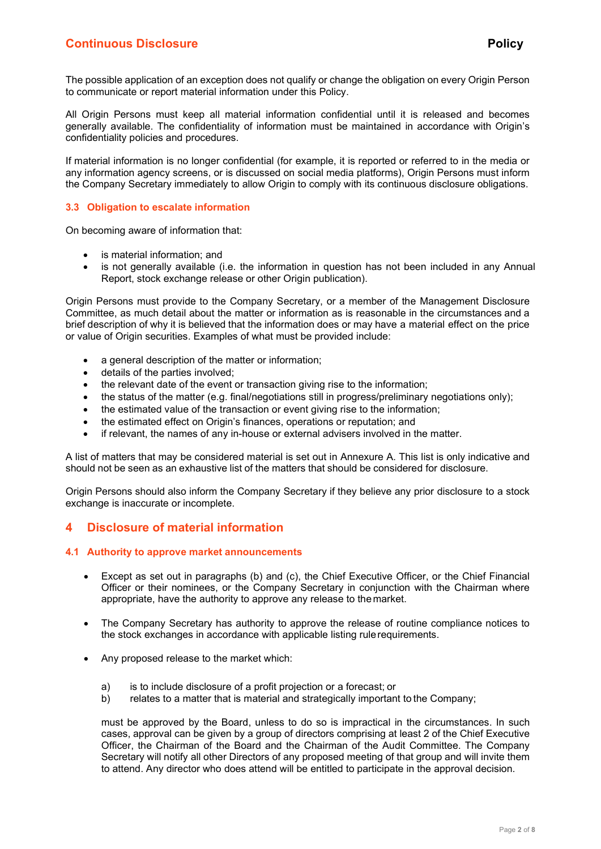The possible application of an exception does not qualify or change the obligation on every Origin Person to communicate or report material information under this Policy.

All Origin Persons must keep all material information confidential until it is released and becomes generally available. The confidentiality of information must be maintained in accordance with Origin's confidentiality policies and procedures.

If material information is no longer confidential (for example, it is reported or referred to in the media or any information agency screens, or is discussed on social media platforms), Origin Persons must inform the Company Secretary immediately to allow Origin to comply with its continuous disclosure obligations.

#### 3.3 Obligation to escalate information

On becoming aware of information that:

- is material information; and
- is not generally available (i.e. the information in question has not been included in any Annual Report, stock exchange release or other Origin publication).

Origin Persons must provide to the Company Secretary, or a member of the Management Disclosure Committee, as much detail about the matter or information as is reasonable in the circumstances and a brief description of why it is believed that the information does or may have a material effect on the price or value of Origin securities. Examples of what must be provided include:

- a general description of the matter or information;
- details of the parties involved;
- the relevant date of the event or transaction giving rise to the information;
- $\bullet$  the status of the matter (e.g. final/negotiations still in progress/preliminary negotiations only);
- the estimated value of the transaction or event giving rise to the information;
- the estimated effect on Origin's finances, operations or reputation; and
- if relevant, the names of any in-house or external advisers involved in the matter.

A list of matters that may be considered material is set out in Annexure A. This list is only indicative and should not be seen as an exhaustive list of the matters that should be considered for disclosure.

Origin Persons should also inform the Company Secretary if they believe any prior disclosure to a stock exchange is inaccurate or incomplete.

#### 4 Disclosure of material information

#### 4.1 Authority to approve market announcements

- Except as set out in paragraphs (b) and (c), the Chief Executive Officer, or the Chief Financial Officer or their nominees, or the Company Secretary in conjunction with the Chairman where appropriate, have the authority to approve any release to the market.
- The Company Secretary has authority to approve the release of routine compliance notices to the stock exchanges in accordance with applicable listing rule requirements.
- Any proposed release to the market which:
	- a) is to include disclosure of a profit projection or a forecast; or
	- b) relates to a matter that is material and strategically important to the Company;

must be approved by the Board, unless to do so is impractical in the circumstances. In such cases, approval can be given by a group of directors comprising at least 2 of the Chief Executive Officer, the Chairman of the Board and the Chairman of the Audit Committee. The Company Secretary will notify all other Directors of any proposed meeting of that group and will invite them to attend. Any director who does attend will be entitled to participate in the approval decision.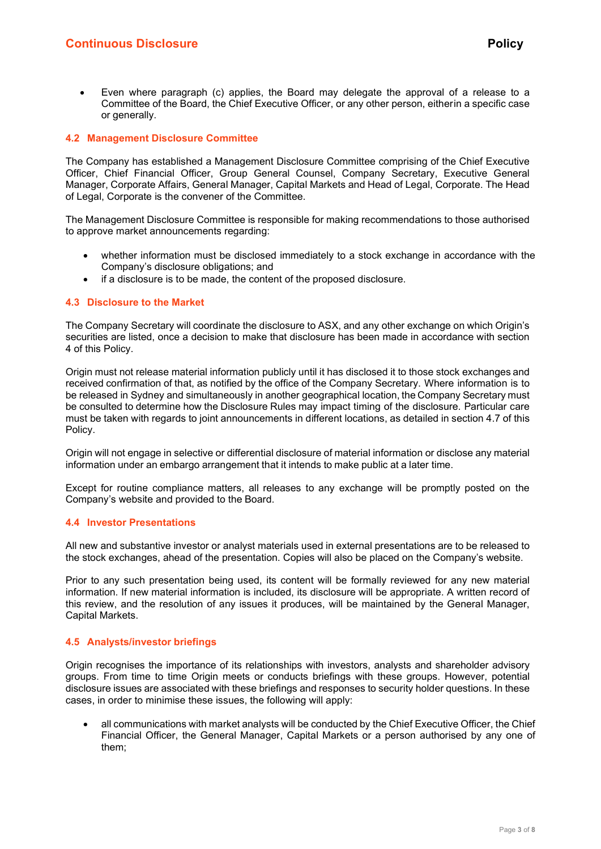Even where paragraph (c) applies, the Board may delegate the approval of a release to a Committee of the Board, the Chief Executive Officer, or any other person, eitherin a specific case or generally.

#### 4.2 Management Disclosure Committee

The Company has established a Management Disclosure Committee comprising of the Chief Executive Officer, Chief Financial Officer, Group General Counsel, Company Secretary, Executive General Manager, Corporate Affairs, General Manager, Capital Markets and Head of Legal, Corporate. The Head of Legal, Corporate is the convener of the Committee.

The Management Disclosure Committee is responsible for making recommendations to those authorised to approve market announcements regarding:

- whether information must be disclosed immediately to a stock exchange in accordance with the Company's disclosure obligations; and
- if a disclosure is to be made, the content of the proposed disclosure.

#### 4.3 Disclosure to the Market

The Company Secretary will coordinate the disclosure to ASX, and any other exchange on which Origin's securities are listed, once a decision to make that disclosure has been made in accordance with section 4 of this Policy.

Origin must not release material information publicly until it has disclosed it to those stock exchanges and received confirmation of that, as notified by the office of the Company Secretary. Where information is to be released in Sydney and simultaneously in another geographical location, the Company Secretary must be consulted to determine how the Disclosure Rules may impact timing of the disclosure. Particular care must be taken with regards to joint announcements in different locations, as detailed in section 4.7 of this Policy.

Origin will not engage in selective or differential disclosure of material information or disclose any material information under an embargo arrangement that it intends to make public at a later time.

Except for routine compliance matters, all releases to any exchange will be promptly posted on the Company's website and provided to the Board.

#### 4.4 Investor Presentations

All new and substantive investor or analyst materials used in external presentations are to be released to the stock exchanges, ahead of the presentation. Copies will also be placed on the Company's website.

Prior to any such presentation being used, its content will be formally reviewed for any new material information. If new material information is included, its disclosure will be appropriate. A written record of this review, and the resolution of any issues it produces, will be maintained by the General Manager, Capital Markets.

#### 4.5 Analysts/investor briefings

Origin recognises the importance of its relationships with investors, analysts and shareholder advisory groups. From time to time Origin meets or conducts briefings with these groups. However, potential disclosure issues are associated with these briefings and responses to security holder questions. In these cases, in order to minimise these issues, the following will apply:

 all communications with market analysts will be conducted by the Chief Executive Officer, the Chief Financial Officer, the General Manager, Capital Markets or a person authorised by any one of them;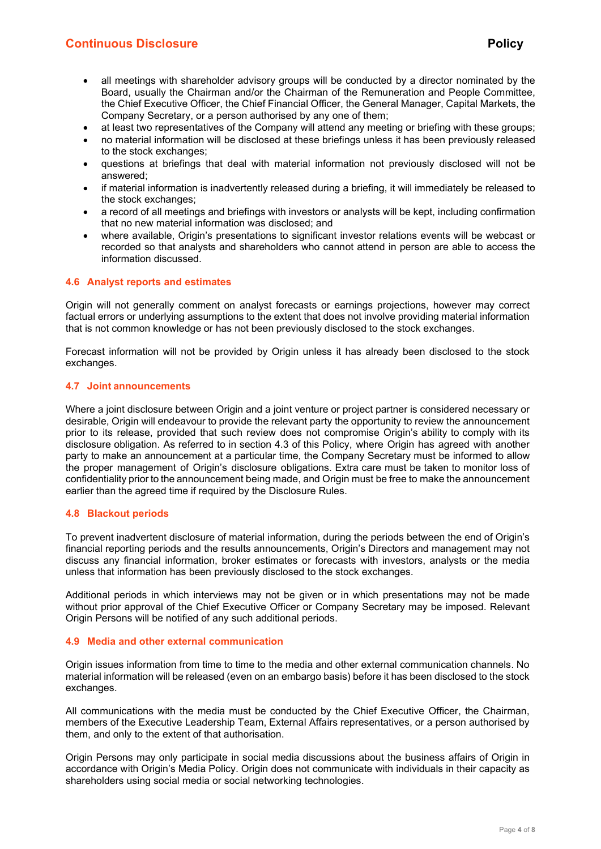## **Continuous Disclosure Policy Policy Policy Policy Policy Policy**

- all meetings with shareholder advisory groups will be conducted by a director nominated by the Board, usually the Chairman and/or the Chairman of the Remuneration and People Committee, the Chief Executive Officer, the Chief Financial Officer, the General Manager, Capital Markets, the Company Secretary, or a person authorised by any one of them;
- at least two representatives of the Company will attend any meeting or briefing with these groups;
- no material information will be disclosed at these briefings unless it has been previously released to the stock exchanges;
- questions at briefings that deal with material information not previously disclosed will not be answered;
- if material information is inadvertently released during a briefing, it will immediately be released to the stock exchanges;
- a record of all meetings and briefings with investors or analysts will be kept, including confirmation that no new material information was disclosed; and
- where available, Origin's presentations to significant investor relations events will be webcast or recorded so that analysts and shareholders who cannot attend in person are able to access the information discussed.

#### 4.6 Analyst reports and estimates

Origin will not generally comment on analyst forecasts or earnings projections, however may correct factual errors or underlying assumptions to the extent that does not involve providing material information that is not common knowledge or has not been previously disclosed to the stock exchanges.

Forecast information will not be provided by Origin unless it has already been disclosed to the stock exchanges.

#### 4.7 Joint announcements

Where a joint disclosure between Origin and a joint venture or project partner is considered necessary or desirable, Origin will endeavour to provide the relevant party the opportunity to review the announcement prior to its release, provided that such review does not compromise Origin's ability to comply with its disclosure obligation. As referred to in section 4.3 of this Policy, where Origin has agreed with another party to make an announcement at a particular time, the Company Secretary must be informed to allow the proper management of Origin's disclosure obligations. Extra care must be taken to monitor loss of confidentiality prior to the announcement being made, and Origin must be free to make the announcement earlier than the agreed time if required by the Disclosure Rules.

#### 4.8 Blackout periods

To prevent inadvertent disclosure of material information, during the periods between the end of Origin's financial reporting periods and the results announcements, Origin's Directors and management may not discuss any financial information, broker estimates or forecasts with investors, analysts or the media unless that information has been previously disclosed to the stock exchanges.

Additional periods in which interviews may not be given or in which presentations may not be made without prior approval of the Chief Executive Officer or Company Secretary may be imposed. Relevant Origin Persons will be notified of any such additional periods.

#### 4.9 Media and other external communication

Origin issues information from time to time to the media and other external communication channels. No material information will be released (even on an embargo basis) before it has been disclosed to the stock exchanges.

All communications with the media must be conducted by the Chief Executive Officer, the Chairman, members of the Executive Leadership Team, External Affairs representatives, or a person authorised by them, and only to the extent of that authorisation.

Origin Persons may only participate in social media discussions about the business affairs of Origin in accordance with Origin's Media Policy. Origin does not communicate with individuals in their capacity as shareholders using social media or social networking technologies.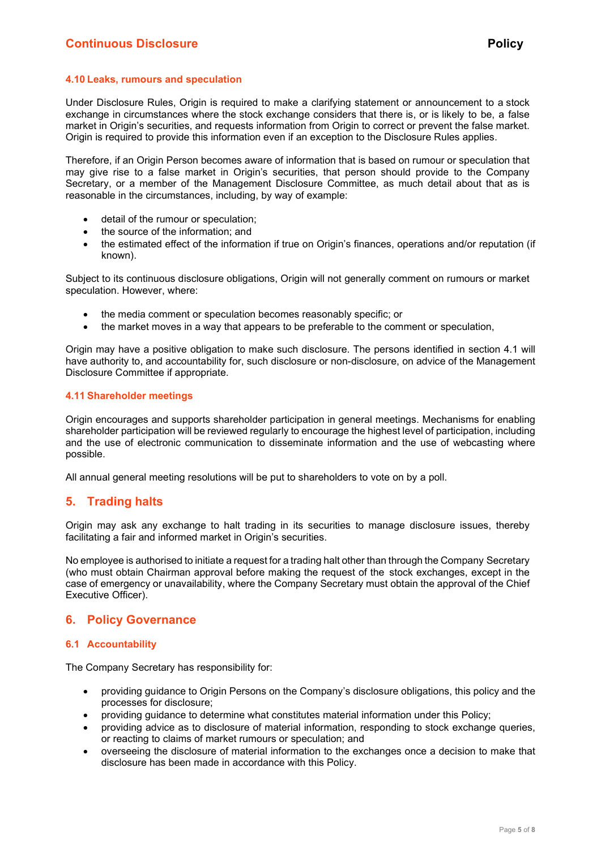#### 4.10 Leaks, rumours and speculation

Under Disclosure Rules, Origin is required to make a clarifying statement or announcement to a stock exchange in circumstances where the stock exchange considers that there is, or is likely to be, a false market in Origin's securities, and requests information from Origin to correct or prevent the false market. Origin is required to provide this information even if an exception to the Disclosure Rules applies.

Therefore, if an Origin Person becomes aware of information that is based on rumour or speculation that may give rise to a false market in Origin's securities, that person should provide to the Company Secretary, or a member of the Management Disclosure Committee, as much detail about that as is reasonable in the circumstances, including, by way of example:

- detail of the rumour or speculation;
- the source of the information; and
- the estimated effect of the information if true on Origin's finances, operations and/or reputation (if known).

Subject to its continuous disclosure obligations, Origin will not generally comment on rumours or market speculation. However, where:

- the media comment or speculation becomes reasonably specific; or
- the market moves in a way that appears to be preferable to the comment or speculation,

Origin may have a positive obligation to make such disclosure. The persons identified in section 4.1 will have authority to, and accountability for, such disclosure or non-disclosure, on advice of the Management Disclosure Committee if appropriate.

#### 4.11 Shareholder meetings

Origin encourages and supports shareholder participation in general meetings. Mechanisms for enabling shareholder participation will be reviewed regularly to encourage the highest level of participation, including and the use of electronic communication to disseminate information and the use of webcasting where possible.

All annual general meeting resolutions will be put to shareholders to vote on by a poll.

### 5. Trading halts

Origin may ask any exchange to halt trading in its securities to manage disclosure issues, thereby facilitating a fair and informed market in Origin's securities.

No employee is authorised to initiate a request for a trading halt other than through the Company Secretary (who must obtain Chairman approval before making the request of the stock exchanges, except in the case of emergency or unavailability, where the Company Secretary must obtain the approval of the Chief Executive Officer).

#### 6. Policy Governance

#### 6.1 Accountability

The Company Secretary has responsibility for:

- providing guidance to Origin Persons on the Company's disclosure obligations, this policy and the processes for disclosure;
- providing guidance to determine what constitutes material information under this Policy;
- providing advice as to disclosure of material information, responding to stock exchange queries, or reacting to claims of market rumours or speculation; and
- overseeing the disclosure of material information to the exchanges once a decision to make that disclosure has been made in accordance with this Policy.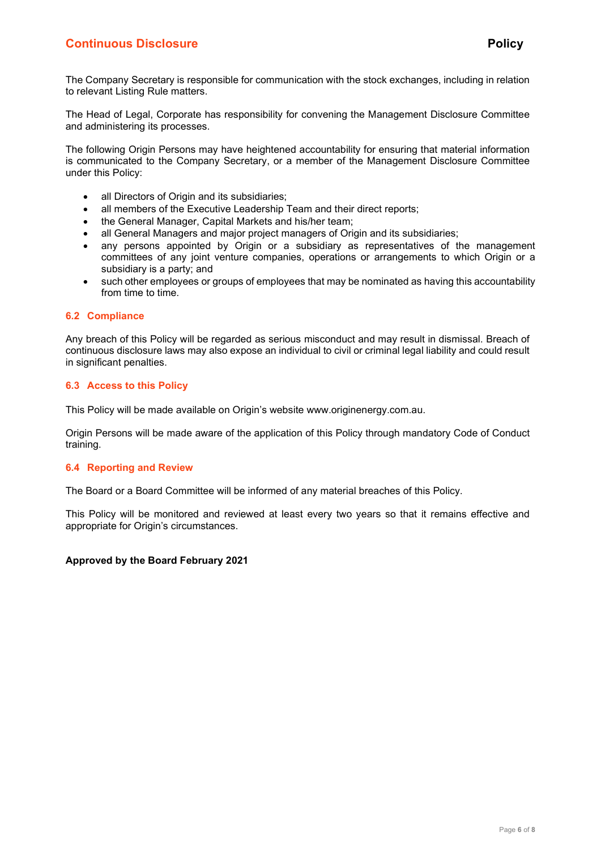The Company Secretary is responsible for communication with the stock exchanges, including in relation to relevant Listing Rule matters.

The Head of Legal, Corporate has responsibility for convening the Management Disclosure Committee and administering its processes.

The following Origin Persons may have heightened accountability for ensuring that material information is communicated to the Company Secretary, or a member of the Management Disclosure Committee under this Policy:

- all Directors of Origin and its subsidiaries;
- all members of the Executive Leadership Team and their direct reports;
- the General Manager, Capital Markets and his/her team;
- all General Managers and major project managers of Origin and its subsidiaries;
- any persons appointed by Origin or a subsidiary as representatives of the management committees of any joint venture companies, operations or arrangements to which Origin or a subsidiary is a party; and
- such other employees or groups of employees that may be nominated as having this accountability from time to time.

#### 6.2 Compliance

Any breach of this Policy will be regarded as serious misconduct and may result in dismissal. Breach of continuous disclosure laws may also expose an individual to civil or criminal legal liability and could result in significant penalties.

#### 6.3 Access to this Policy

This Policy will be made available on Origin's website www.originenergy.com.au.

Origin Persons will be made aware of the application of this Policy through mandatory Code of Conduct training.

#### 6.4 Reporting and Review

The Board or a Board Committee will be informed of any material breaches of this Policy.

This Policy will be monitored and reviewed at least every two years so that it remains effective and appropriate for Origin's circumstances.

#### Approved by the Board February 2021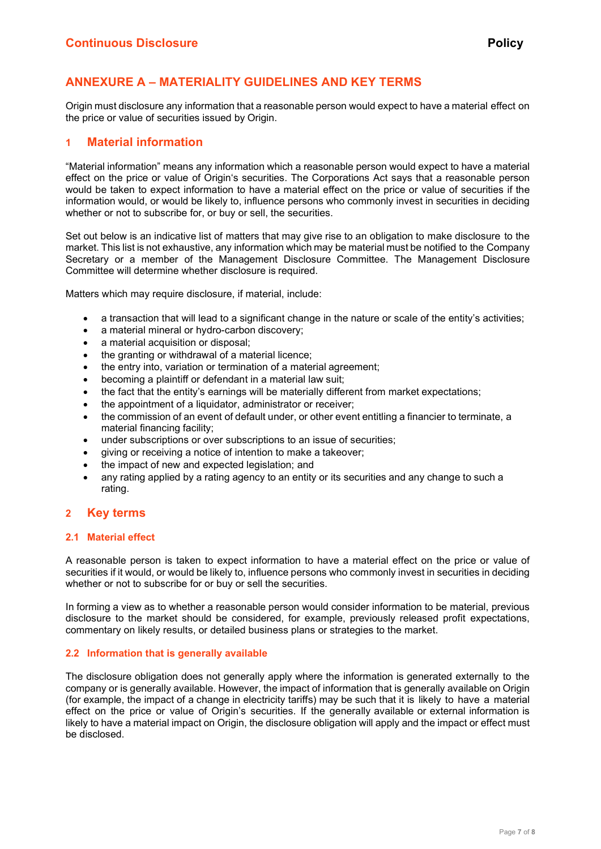## ANNEXURE A – MATERIALITY GUIDELINES AND KEY TERMS

Origin must disclosure any information that a reasonable person would expect to have a material effect on the price or value of securities issued by Origin.

#### 1 Material information

"Material information" means any information which a reasonable person would expect to have a material effect on the price or value of Origin's securities. The Corporations Act says that a reasonable person would be taken to expect information to have a material effect on the price or value of securities if the information would, or would be likely to, influence persons who commonly invest in securities in deciding whether or not to subscribe for, or buy or sell, the securities.

Set out below is an indicative list of matters that may give rise to an obligation to make disclosure to the market. This list is not exhaustive, any information which may be material must be notified to the Company Secretary or a member of the Management Disclosure Committee. The Management Disclosure Committee will determine whether disclosure is required.

Matters which may require disclosure, if material, include:

- a transaction that will lead to a significant change in the nature or scale of the entity's activities;
- a material mineral or hydro-carbon discovery;
- a material acquisition or disposal;
- the granting or withdrawal of a material licence;
- the entry into, variation or termination of a material agreement;
- becoming a plaintiff or defendant in a material law suit;
- the fact that the entity's earnings will be materially different from market expectations;
- the appointment of a liquidator, administrator or receiver;
- the commission of an event of default under, or other event entitling a financier to terminate, a material financing facility;
- under subscriptions or over subscriptions to an issue of securities;
- giving or receiving a notice of intention to make a takeover;
- the impact of new and expected legislation; and
- any rating applied by a rating agency to an entity or its securities and any change to such a rating.

#### 2 Key terms

#### 2.1 Material effect

A reasonable person is taken to expect information to have a material effect on the price or value of securities if it would, or would be likely to, influence persons who commonly invest in securities in deciding whether or not to subscribe for or buy or sell the securities.

In forming a view as to whether a reasonable person would consider information to be material, previous disclosure to the market should be considered, for example, previously released profit expectations, commentary on likely results, or detailed business plans or strategies to the market.

#### 2.2 Information that is generally available

The disclosure obligation does not generally apply where the information is generated externally to the company or is generally available. However, the impact of information that is generally available on Origin (for example, the impact of a change in electricity tariffs) may be such that it is likely to have a material effect on the price or value of Origin's securities. If the generally available or external information is likely to have a material impact on Origin, the disclosure obligation will apply and the impact or effect must be disclosed.